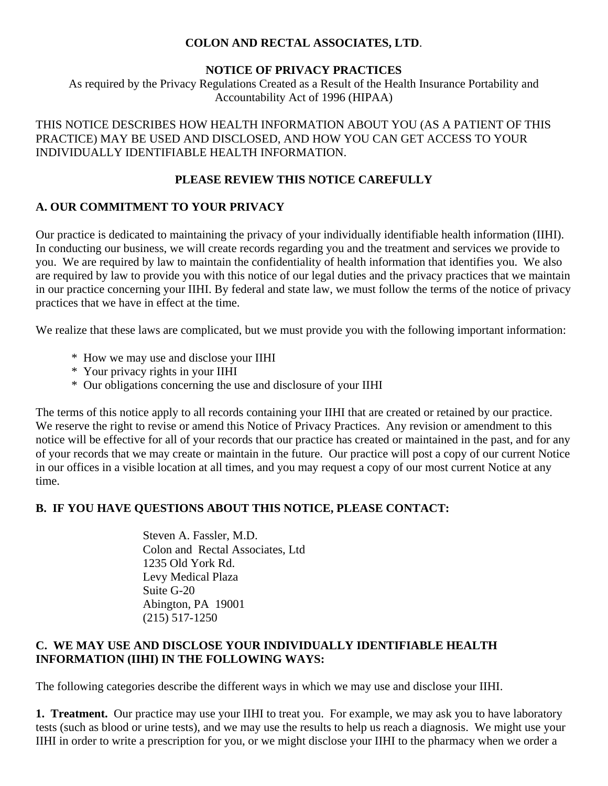#### **COLON AND RECTAL ASSOCIATES, LTD**.

#### **NOTICE OF PRIVACY PRACTICES**

As required by the Privacy Regulations Created as a Result of the Health Insurance Portability and Accountability Act of 1996 (HIPAA)

THIS NOTICE DESCRIBES HOW HEALTH INFORMATION ABOUT YOU (AS A PATIENT OF THIS PRACTICE) MAY BE USED AND DISCLOSED, AND HOW YOU CAN GET ACCESS TO YOUR INDIVIDUALLY IDENTIFIABLE HEALTH INFORMATION.

#### **PLEASE REVIEW THIS NOTICE CAREFULLY**

## **A. OUR COMMITMENT TO YOUR PRIVACY**

Our practice is dedicated to maintaining the privacy of your individually identifiable health information (IIHI). In conducting our business, we will create records regarding you and the treatment and services we provide to you. We are required by law to maintain the confidentiality of health information that identifies you. We also are required by law to provide you with this notice of our legal duties and the privacy practices that we maintain in our practice concerning your IIHI. By federal and state law, we must follow the terms of the notice of privacy practices that we have in effect at the time.

We realize that these laws are complicated, but we must provide you with the following important information:

- \* How we may use and disclose your IIHI
- \* Your privacy rights in your IIHI
- \* Our obligations concerning the use and disclosure of your IIHI

The terms of this notice apply to all records containing your IIHI that are created or retained by our practice. We reserve the right to revise or amend this Notice of Privacy Practices. Any revision or amendment to this notice will be effective for all of your records that our practice has created or maintained in the past, and for any of your records that we may create or maintain in the future. Our practice will post a copy of our current Notice in our offices in a visible location at all times, and you may request a copy of our most current Notice at any time.

## **B. IF YOU HAVE QUESTIONS ABOUT THIS NOTICE, PLEASE CONTACT:**

 Steven A. Fassler, M.D. Colon and Rectal Associates, Ltd 1235 Old York Rd. Levy Medical Plaza Suite G-20 Abington, PA 19001 (215) 517-1250

#### **C. WE MAY USE AND DISCLOSE YOUR INDIVIDUALLY IDENTIFIABLE HEALTH INFORMATION (IIHI) IN THE FOLLOWING WAYS:**

The following categories describe the different ways in which we may use and disclose your IIHI.

**1. Treatment.** Our practice may use your IIHI to treat you. For example, we may ask you to have laboratory tests (such as blood or urine tests), and we may use the results to help us reach a diagnosis. We might use your IIHI in order to write a prescription for you, or we might disclose your IIHI to the pharmacy when we order a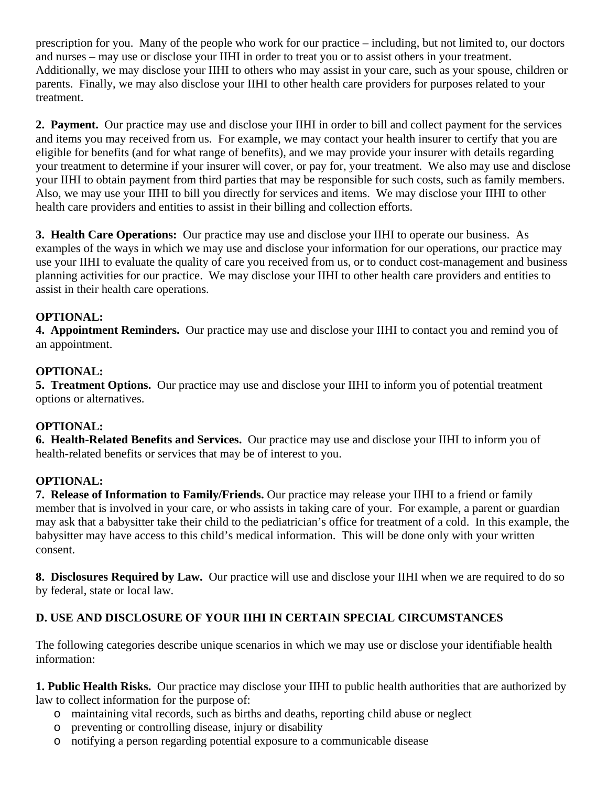prescription for you. Many of the people who work for our practice – including, but not limited to, our doctors and nurses – may use or disclose your IIHI in order to treat you or to assist others in your treatment. Additionally, we may disclose your IIHI to others who may assist in your care, such as your spouse, children or parents. Finally, we may also disclose your IIHI to other health care providers for purposes related to your treatment.

**2. Payment.** Our practice may use and disclose your IIHI in order to bill and collect payment for the services and items you may received from us. For example, we may contact your health insurer to certify that you are eligible for benefits (and for what range of benefits), and we may provide your insurer with details regarding your treatment to determine if your insurer will cover, or pay for, your treatment. We also may use and disclose your IIHI to obtain payment from third parties that may be responsible for such costs, such as family members. Also, we may use your IIHI to bill you directly for services and items. We may disclose your IIHI to other health care providers and entities to assist in their billing and collection efforts.

**3. Health Care Operations:** Our practice may use and disclose your IIHI to operate our business. As examples of the ways in which we may use and disclose your information for our operations, our practice may use your IIHI to evaluate the quality of care you received from us, or to conduct cost-management and business planning activities for our practice. We may disclose your IIHI to other health care providers and entities to assist in their health care operations.

#### **OPTIONAL:**

**4. Appointment Reminders.** Our practice may use and disclose your IIHI to contact you and remind you of an appointment.

#### **OPTIONAL:**

**5. Treatment Options.** Our practice may use and disclose your IIHI to inform you of potential treatment options or alternatives.

#### **OPTIONAL:**

**6. Health-Related Benefits and Services.** Our practice may use and disclose your IIHI to inform you of health-related benefits or services that may be of interest to you.

#### **OPTIONAL:**

**7. Release of Information to Family/Friends.** Our practice may release your IIHI to a friend or family member that is involved in your care, or who assists in taking care of your. For example, a parent or guardian may ask that a babysitter take their child to the pediatrician's office for treatment of a cold. In this example, the babysitter may have access to this child's medical information. This will be done only with your written consent.

**8. Disclosures Required by Law.** Our practice will use and disclose your IIHI when we are required to do so by federal, state or local law.

## **D. USE AND DISCLOSURE OF YOUR IIHI IN CERTAIN SPECIAL CIRCUMSTANCES**

The following categories describe unique scenarios in which we may use or disclose your identifiable health information:

**1. Public Health Risks.** Our practice may disclose your IIHI to public health authorities that are authorized by law to collect information for the purpose of:

- o maintaining vital records, such as births and deaths, reporting child abuse or neglect
- o preventing or controlling disease, injury or disability
- o notifying a person regarding potential exposure to a communicable disease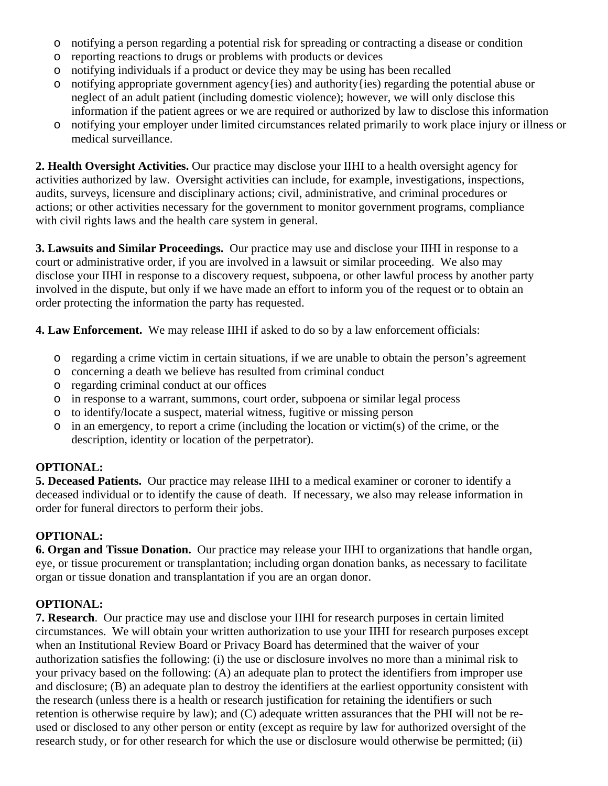- o notifying a person regarding a potential risk for spreading or contracting a disease or condition
- o reporting reactions to drugs or problems with products or devices
- o notifying individuals if a product or device they may be using has been recalled
- o notifying appropriate government agency{ies) and authority{ies) regarding the potential abuse or neglect of an adult patient (including domestic violence); however, we will only disclose this information if the patient agrees or we are required or authorized by law to disclose this information
- o notifying your employer under limited circumstances related primarily to work place injury or illness or medical surveillance.

**2. Health Oversight Activities.** Our practice may disclose your IIHI to a health oversight agency for activities authorized by law. Oversight activities can include, for example, investigations, inspections, audits, surveys, licensure and disciplinary actions; civil, administrative, and criminal procedures or actions; or other activities necessary for the government to monitor government programs, compliance with civil rights laws and the health care system in general.

**3. Lawsuits and Similar Proceedings.** Our practice may use and disclose your IIHI in response to a court or administrative order, if you are involved in a lawsuit or similar proceeding. We also may disclose your IIHI in response to a discovery request, subpoena, or other lawful process by another party involved in the dispute, but only if we have made an effort to inform you of the request or to obtain an order protecting the information the party has requested.

**4. Law Enforcement.** We may release IIHI if asked to do so by a law enforcement officials:

- o regarding a crime victim in certain situations, if we are unable to obtain the person's agreement
- o concerning a death we believe has resulted from criminal conduct
- o regarding criminal conduct at our offices
- o in response to a warrant, summons, court order, subpoena or similar legal process
- o to identify/locate a suspect, material witness, fugitive or missing person
- o in an emergency, to report a crime (including the location or victim(s) of the crime, or the description, identity or location of the perpetrator).

# **OPTIONAL:**

**5. Deceased Patients.** Our practice may release IIHI to a medical examiner or coroner to identify a deceased individual or to identify the cause of death. If necessary, we also may release information in order for funeral directors to perform their jobs.

# **OPTIONAL:**

**6. Organ and Tissue Donation.** Our practice may release your IIHI to organizations that handle organ, eye, or tissue procurement or transplantation; including organ donation banks, as necessary to facilitate organ or tissue donation and transplantation if you are an organ donor.

# **OPTIONAL:**

**7. Research**. Our practice may use and disclose your IIHI for research purposes in certain limited circumstances. We will obtain your written authorization to use your IIHI for research purposes except when an Institutional Review Board or Privacy Board has determined that the waiver of your authorization satisfies the following: (i) the use or disclosure involves no more than a minimal risk to your privacy based on the following: (A) an adequate plan to protect the identifiers from improper use and disclosure; (B) an adequate plan to destroy the identifiers at the earliest opportunity consistent with the research (unless there is a health or research justification for retaining the identifiers or such retention is otherwise require by law); and (C) adequate written assurances that the PHI will not be reused or disclosed to any other person or entity (except as require by law for authorized oversight of the research study, or for other research for which the use or disclosure would otherwise be permitted; (ii)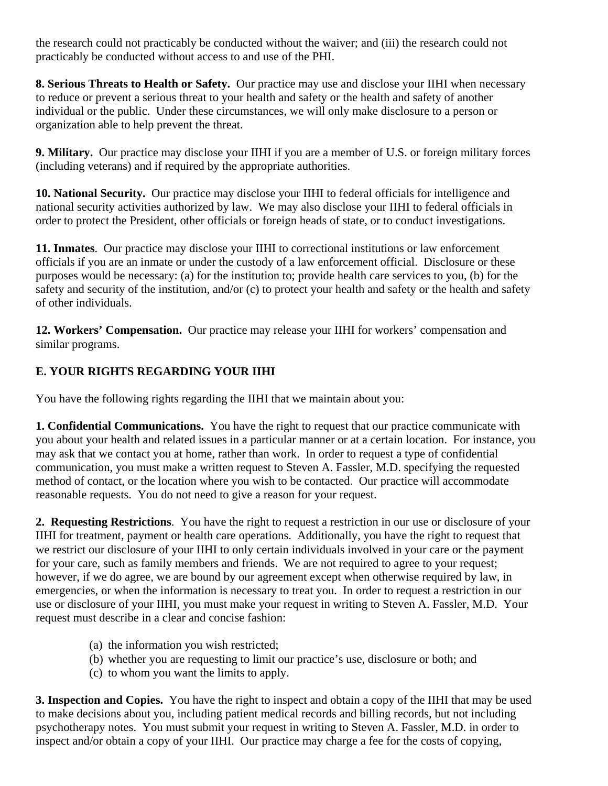the research could not practicably be conducted without the waiver; and (iii) the research could not practicably be conducted without access to and use of the PHI.

**8. Serious Threats to Health or Safety.** Our practice may use and disclose your IIHI when necessary to reduce or prevent a serious threat to your health and safety or the health and safety of another individual or the public. Under these circumstances, we will only make disclosure to a person or organization able to help prevent the threat.

**9. Military.** Our practice may disclose your IIHI if you are a member of U.S. or foreign military forces (including veterans) and if required by the appropriate authorities.

**10. National Security.** Our practice may disclose your IIHI to federal officials for intelligence and national security activities authorized by law. We may also disclose your IIHI to federal officials in order to protect the President, other officials or foreign heads of state, or to conduct investigations.

**11. Inmates**. Our practice may disclose your IIHI to correctional institutions or law enforcement officials if you are an inmate or under the custody of a law enforcement official. Disclosure or these purposes would be necessary: (a) for the institution to; provide health care services to you, (b) for the safety and security of the institution, and/or (c) to protect your health and safety or the health and safety of other individuals.

**12. Workers' Compensation.** Our practice may release your IIHI for workers' compensation and similar programs.

## **E. YOUR RIGHTS REGARDING YOUR IIHI**

You have the following rights regarding the IIHI that we maintain about you:

**1. Confidential Communications.** You have the right to request that our practice communicate with you about your health and related issues in a particular manner or at a certain location. For instance, you may ask that we contact you at home, rather than work. In order to request a type of confidential communication, you must make a written request to Steven A. Fassler, M.D. specifying the requested method of contact, or the location where you wish to be contacted. Our practice will accommodate reasonable requests. You do not need to give a reason for your request.

**2. Requesting Restrictions**. You have the right to request a restriction in our use or disclosure of your IIHI for treatment, payment or health care operations. Additionally, you have the right to request that we restrict our disclosure of your IIHI to only certain individuals involved in your care or the payment for your care, such as family members and friends. We are not required to agree to your request; however, if we do agree, we are bound by our agreement except when otherwise required by law, in emergencies, or when the information is necessary to treat you. In order to request a restriction in our use or disclosure of your IIHI, you must make your request in writing to Steven A. Fassler, M.D. Your request must describe in a clear and concise fashion:

- (a) the information you wish restricted;
- (b) whether you are requesting to limit our practice's use, disclosure or both; and
- (c) to whom you want the limits to apply.

**3. Inspection and Copies.** You have the right to inspect and obtain a copy of the IIHI that may be used to make decisions about you, including patient medical records and billing records, but not including psychotherapy notes. You must submit your request in writing to Steven A. Fassler, M.D. in order to inspect and/or obtain a copy of your IIHI. Our practice may charge a fee for the costs of copying,